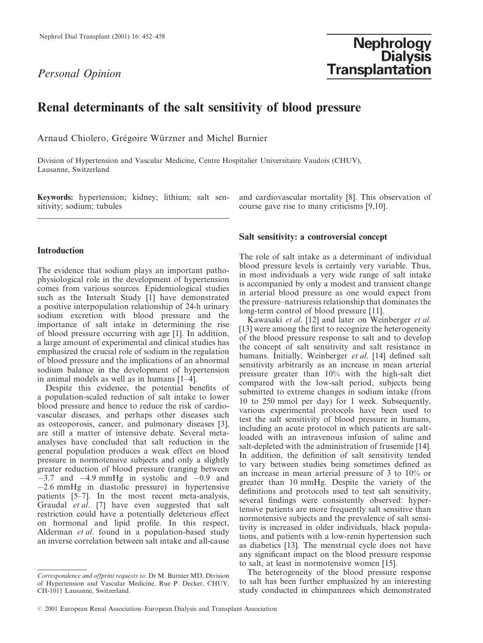# Personal Opinion

# Renal determinants of the salt sensitivity of blood pressure

Arnaud Chiolero, Grégoire Würzner and Michel Burnier

Division of Hypertension and Vascular Medicine, Centre Hospitalier Universitaire Vaudois (CHUV), Lausanne, Switzerland

Keywords: hypertension; kidney; lithium; salt sensitivity; sodium; tubules

# **Introduction**

The evidence that sodium plays an important pathophysiological role in the development of hypertension comes from various sources. Epidemiological studies such as the Intersalt Study [1] have demonstrated a positive interpopulation relationship of 24-h urinary sodium excretion with blood pressure and the importance of salt intake in determining the rise of blood pressure occurring with age [1]. In addition, a large amount of experimental and clinical studies has emphasized the crucial role of sodium in the regulation of blood pressure and the implications of an abnormal sodium balance in the development of hypertension in animal models as well as in humans  $[1-4]$ .

Despite this evidence, the potential benefits of a population-scaled reduction of salt intake to lower blood pressure and hence to reduce the risk of cardiovascular diseases, and perhaps other diseases such as osteoporosis, cancer, and pulmonary diseases [3], are still a matter of intensive debate. Several metaanalyses have concluded that salt reduction in the general population produces a weak effect on blood pressure in normotensive subjects and only a slightly greater reduction of blood pressure (ranging between  $-3.7$  and  $-4.9$  mmHg in systolic and  $-0.9$  and  $-2.6$  mmHg in diastolic pressure) in hypertensive patients [5-7]. In the most recent meta-analysis, Graudal *et al.* [7] have even suggested that salt restriction could have a potentially deleterious effect on hormonal and lipid profile. In this respect, Alderman et al. found in a population-based study an inverse correlation between salt intake and all-cause

and cardiovascular mortality [8]. This observation of course gave rise to many criticisms [9,10].

#### Salt sensitivity: a controversial concept

The role of salt intake as a determinant of individual blood pressure levels is certainly very variable. Thus, in most individuals a very wide range of salt intake is accompanied by only a modest and transient change in arterial blood pressure as one would expect from the pressure–natriuresis relationship that dominates the long-term control of blood pressure [11].

Kawasaki et al. [12] and later on Weinberger et al. [13] were among the first to recognize the heterogeneity of the blood pressure response to salt and to develop the concept of salt sensitivity and salt resistance in humans. Initially, Weinberger et al. [14] defined salt sensitivity arbitrarily as an increase in mean arterial pressure greater than 10% with the high-salt diet compared with the low-salt period, subjects being submitted to extreme changes in sodium intake (from 10 to 250 mmol per day) for 1 week. Subsequently, various experimental protocols have been used to test the salt sensitivity of blood pressure in humans, including an acute protocol in which patients are saltloaded with an intravenous infusion of saline and salt-depleted with the administration of frusemide [14]. In addition, the definition of salt sensitivity tended to vary between studies being sometimes defined as an increase in mean arterial pressure of 3 to  $10\%$  or greater than 10 mmHg. Despite the variety of the definitions and protocols used to test salt sensitivity, several findings were consistently observed: hypertensive patients are more frequently salt sensitive than normotensive subjects and the prevalence of salt sensitivity is increased in older individuals, black populations, and patients with a low-renin hypertension such as diabetics [13]. The menstrual cycle does not have any significant impact on the blood pressure response to salt, at least in normotensive women [15].

The heterogeneity of the blood pressure response to salt has been further emphasized by an interesting study conducted in chimpanzees which demonstrated

Correspondence and offprint requests to: Dr M. Burnier MD, Division of Hypertension and Vascular Medicine, Rue P. Decker, CHUV, CH-1011 Lausanne, Switzerland.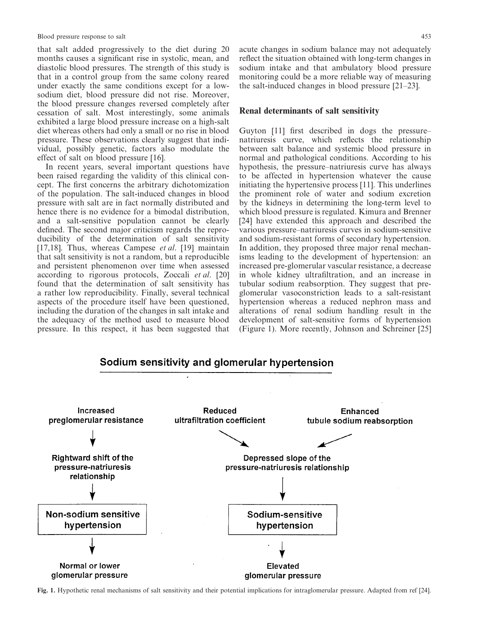that salt added progressively to the diet during 20 months causes a significant rise in systolic, mean, and diastolic blood pressures. The strength of this study is that in a control group from the same colony reared under exactly the same conditions except for a lowsodium diet, blood pressure did not rise. Moreover, the blood pressure changes reversed completely after cessation of salt. Most interestingly, some animals exhibited a large blood pressure increase on a high-salt diet whereas others had only a small or no rise in blood pressure. These observations clearly suggest that individual, possibly genetic, factors also modulate the effect of salt on blood pressure [16].

In recent years, several important questions have been raised regarding the validity of this clinical concept. The first concerns the arbitrary dichotomization of the population. The salt-induced changes in blood pressure with salt are in fact normally distributed and hence there is no evidence for a bimodal distribution, and a salt-sensitive population cannot be clearly defined. The second major criticism regards the reproducibility of the determination of salt sensitivity [17,18]. Thus, whereas Campese *et al.* [19] maintain that salt sensitivity is not a random, but a reproducible and persistent phenomenon over time when assessed according to rigorous protocols, Zoccali et al. [20] found that the determination of salt sensitivity has a rather low reproducibility. Finally, several technical aspects of the procedure itself have been questioned, including the duration of the changes in salt intake and the adequacy of the method used to measure blood pressure. In this respect, it has been suggested that

acute changes in sodium balance may not adequately reflect the situation obtained with long-term changes in sodium intake and that ambulatory blood pressure monitoring could be a more reliable way of measuring the salt-induced changes in blood pressure  $[21-23]$ .

#### Renal determinants of salt sensitivity

Guyton [11] first described in dogs the pressurenatriuresis curve, which reflects the relationship between salt balance and systemic blood pressure in normal and pathological conditions. According to his hypothesis, the pressure–natriuresis curve has always to be affected in hypertension whatever the cause initiating the hypertensive process [11]. This underlines the prominent role of water and sodium excretion by the kidneys in determining the long-term level to which blood pressure is regulated. Kimura and Brenner [24] have extended this approach and described the various pressure–natriuresis curves in sodium-sensitive and sodium-resistant forms of secondary hypertension. In addition, they proposed three major renal mechanisms leading to the development of hypertension: an increased pre-glomerular vascular resistance, a decrease in whole kidney ultrafiltration, and an increase in tubular sodium reabsorption. They suggest that preglomerular vasoconstriction leads to a salt-resistant hypertension whereas a reduced nephron mass and alterations of renal sodium handling result in the development of salt-sensitive forms of hypertension (Figure 1). More recently, Johnson and Schreiner [25]

# Sodium sensitivity and glomerular hypertension



Fig. 1. Hypothetic renal mechanisms of salt sensitivity and their potential implications for intraglomerular pressure. Adapted from ref [24].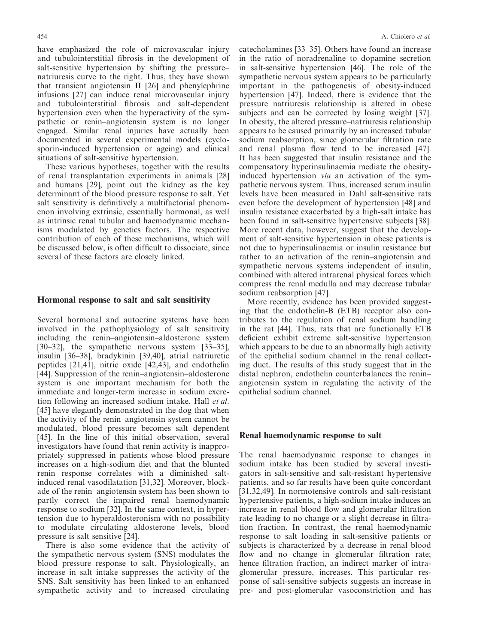454

have emphasized the role of microvascular injury and tubulointerstitial fibrosis in the development of salt-sensitive hypertension by shifting the pressurenatriuresis curve to the right. Thus, they have shown that transient angiotensin II [26] and phenylephrine infusions [27] can induce renal microvascular injury and tubulointerstitial fibrosis and salt-dependent hypertension even when the hyperactivity of the sympathetic or renin-angiotensin system is no longer engaged. Similar renal injuries have actually been documented in several experimental models (cyclosporin-induced hypertension or ageing) and clinical situations of salt-sensitive hypertension.

These various hypotheses, together with the results of renal transplantation experiments in animals [28] and humans [29], point out the kidney as the key determinant of the blood pressure response to salt. Yet salt sensitivity is definitively a multifactorial phenomenon involving extrinsic, essentially hormonal, as well as intrinsic renal tubular and haemodynamic mechanisms modulated by genetics factors. The respective contribution of each of these mechanisms, which will be discussed below, is often difficult to dissociate, since several of these factors are closely linked.

#### Hormonal response to salt and salt sensitivity

Several hormonal and autocrine systems have been involved in the pathophysiology of salt sensitivity including the renin-angiotensin-aldosterone system  $[30-32]$ , the sympathetic nervous system  $[33-35]$ , insulin [36-38], bradykinin [39,40], atrial natriuretic peptides [21,41], nitric oxide [42,43], and endothelin [44]. Suppression of the renin-angiotensin-aldosterone system is one important mechanism for both the immediate and longer-term increase in sodium excretion following an increased sodium intake. Hall et al. [45] have elegantly demonstrated in the dog that when the activity of the renin-angiotensin system cannot be modulated, blood pressure becomes salt dependent [45]. In the line of this initial observation, several investigators have found that renin activity is inappropriately suppressed in patients whose blood pressure increases on a high-sodium diet and that the blunted renin response correlates with a diminished saltinduced renal vasodilatation [31,32]. Moreover, blockade of the renin-angiotensin system has been shown to partly correct the impaired renal haemodynamic response to sodium [32]. In the same context, in hypertension due to hyperaldosteronism with no possibility to modulate circulating aldosterone levels, blood pressure is salt sensitive [24].

There is also some evidence that the activity of the sympathetic nervous system (SNS) modulates the blood pressure response to salt. Physiologically, an increase in salt intake suppresses the activity of the SNS. Salt sensitivity has been linked to an enhanced sympathetic activity and to increased circulating catecholamines [33–35]. Others have found an increase in the ratio of noradrenaline to dopamine secretion in salt-sensitive hypertension [46]. The role of the sympathetic nervous system appears to be particularly important in the pathogenesis of obesity-induced hypertension [47]. Indeed, there is evidence that the pressure natriures is relationship is altered in obese subjects and can be corrected by losing weight [37]. In obesity, the altered pressure–natriuresis relationship appears to be caused primarily by an increased tubular sodium reabsorption, since glomerular filtration rate and renal plasma flow tend to be increased [47]. It has been suggested that insulin resistance and the compensatory hyperinsulinaemia mediate the obesityinduced hypertension *via* an activation of the sympathetic nervous system. Thus, increased serum insulin levels have been measured in Dahl salt-sensitive rats even before the development of hypertension [48] and insulin resistance exacerbated by a high-salt intake has been found in salt-sensitive hypertensive subjects [38]. More recent data, however, suggest that the development of salt-sensitive hypertension in obese patients is not due to hyperinsulinaemia or insulin resistance but rather to an activation of the renin-angiotensin and sympathetic nervous systems independent of insulin, combined with altered intrarenal physical forces which compress the renal medulla and may decrease tubular sodium reabsorption [47].

More recently, evidence has been provided suggesting that the endothelin-B (ETB) receptor also contributes to the regulation of renal sodium handling in the rat [44]. Thus, rats that are functionally ETB deficient exhibit extreme salt-sensitive hypertension which appears to be due to an abnormally high activity of the epithelial sodium channel in the renal collecting duct. The results of this study suggest that in the distal nephron, endothelin counterbalances the reninangiotensin system in regulating the activity of the epithelial sodium channel.

#### Renal haemodynamic response to salt

The renal haemodynamic response to changes in sodium intake has been studied by several investigators in salt-sensitive and salt-resistant hypertensive patients, and so far results have been quite concordant [31,32,49]. In normotensive controls and salt-resistant hypertensive patients, a high-sodium intake induces an increase in renal blood flow and glomerular filtration rate leading to no change or a slight decrease in filtration fraction. In contrast, the renal haemodynamic response to salt loading in salt-sensitive patients or subjects is characterized by a decrease in renal blood flow and no change in glomerular filtration rate; hence filtration fraction, an indirect marker of intraglomerular pressure, increases. This particular response of salt-sensitive subjects suggests an increase in pre- and post-glomerular vasoconstriction and has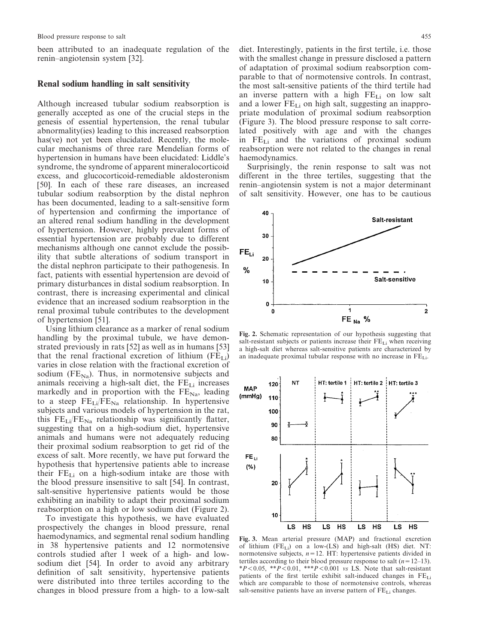been attributed to an inadequate regulation of the renin-angiotensin system [32].

### Renal sodium handling in salt sensitivity

Although increased tubular sodium reabsorption is generally accepted as one of the crucial steps in the genesis of essential hypertension, the renal tubular abnormality (ies) leading to this increased reabsorption has (ve) not yet been elucidated. Recently, the molecular mechanisms of three rare Mendelian forms of hypertension in humans have been elucidated: Liddle's syndrome, the syndrome of apparent mineralocorticoid excess, and glucocorticoid-remediable aldosteronism [50]. In each of these rare diseases, an increased tubular sodium reabsorption by the distal nephron has been documented, leading to a salt-sensitive form of hypertension and confirming the importance of an altered renal sodium handling in the development of hypertension. However, highly prevalent forms of essential hypertension are probably due to different mechanisms although one cannot exclude the possibility that subtle alterations of sodium transport in the distal nephron participate to their pathogenesis. In fact, patients with essential hypertension are devoid of primary disturbances in distal sodium reabsorption. In contrast, there is increasing experimental and clinical evidence that an increased sodium reabsorption in the renal proximal tubule contributes to the development of hypertension [51].

Using lithium clearance as a marker of renal sodium handling by the proximal tubule, we have demonstrated previously in rats [52] as well as in humans [53] that the renal fractional excretion of lithium (FELi) varies in close relation with the fractional excretion of sodium ( $FE_{Na}$ ). Thus, in normotensive subjects and animals receiving a high-salt diet, the FE<sub>Li</sub> increases markedly and in proportion with the  $FE_{Na}$ , leading to a steep  $FE_{Li}/FE_{Na}$  relationship. In hypertensive subjects and various models of hypertension in the rat, this  $FE_{Li}/FE_{Na}$  relationship was significantly flatter, suggesting that on a high-sodium diet, hypertensive animals and humans were not adequately reducing their proximal sodium reabsorption to get rid of the excess of salt. More recently, we have put forward the hypothesis that hypertensive patients able to increase their  $FE_{Li}$  on a high-sodium intake are those with the blood pressure insensitive to salt [54]. In contrast, salt-sensitive hypertensive patients would be those exhibiting an inability to adapt their proximal sodium reabsorption on a high or low sodium diet (Figure 2).

To investigate this hypothesis, we have evaluated prospectively the changes in blood pressure, renal haemodynamics, and segmental renal sodium handling in 38 hypertensive patients and 12 normotensive controls studied after 1 week of a high- and lowsodium diet [54]. In order to avoid any arbitrary definition of salt sensitivity, hypertensive patients were distributed into three tertiles according to the changes in blood pressure from a high- to a low-salt diet. Interestingly, patients in the first tertile, i.e. those with the smallest change in pressure disclosed a pattern of adaptation of proximal sodium reabsorption comparable to that of normotensive controls. In contrast, the most salt-sensitive patients of the third tertile had an inverse pattern with a high  $FE_{Li}$  on low salt and a lower FE<sub>Li</sub> on high salt, suggesting an inappropriate modulation of proximal sodium reabsorption (Figure 3). The blood pressure response to salt correlated positively with age and with the changes in  $FE_{Li}$  and the variations of proximal sodium reabsorption were not related to the changes in renal haemodynamics.

Surprisingly, the renin response to salt was not different in the three tertiles, suggesting that the renin-angiotensin system is not a major determinant of salt sensitivity. However, one has to be cautious



Fig. 2. Schematic representation of our hypothesis suggesting that salt-resistant subjects or patients increase their  $FE_{Li}$  when receiving a high-salt diet whereas salt-sensitive patients are characterized by an inadequate proximal tubular response with no increase in FELi.



Fig. 3. Mean arterial pressure (MAP) and fractional excretion of lithium  $(FE<sub>L</sub>)$  on a low- $(LS)$  and high-salt  $(HS)$  diet. NT: normotensive subjects,  $n = 12$ . HT: hypertensive patients divided in tertiles according to their blood pressure response to salt  $(n=12-13)$ . \* $P < 0.05$ , \*\* $P < 0.01$ , \*\*\* $P < 0.001$  vs LS. Note that salt-resistant patients of the first tertile exhibit salt-induced changes in FELi which are comparable to those of normotensive controls, whereas salt-sensitive patients have an inverse pattern of  $FE_{Li}$  changes.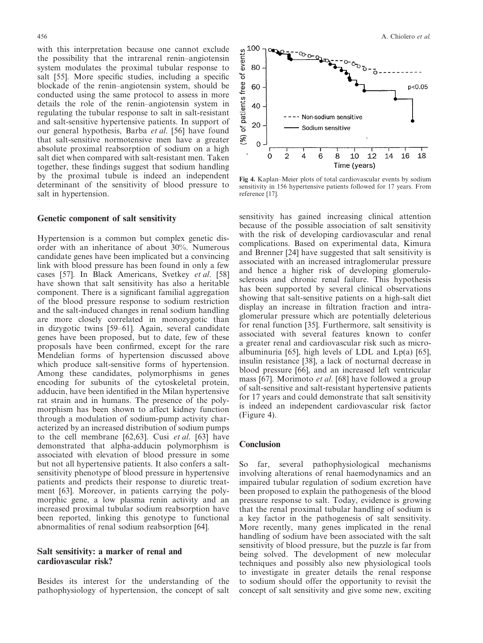with this interpretation because one cannot exclude the possibility that the intrarenal renin-angiotensin system modulates the proximal tubular response to salt [55]. More specific studies, including a specific blockade of the renin-angiotensin system, should be conducted using the same protocol to assess in more details the role of the renin-angiotensin system in regulating the tubular response to salt in salt-resistant and salt-sensitive hypertensive patients. In support of our general hypothesis, Barba et al. [56] have found that salt-sensitive normotensive men have a greater absolute proximal reabsorption of sodium on a high salt diet when compared with salt-resistant men. Taken together, these findings suggest that sodium handling by the proximal tubule is indeed an independent determinant of the sensitivity of blood pressure to salt in hypertension.

#### Genetic component of salt sensitivity

Hypertension is a common but complex genetic disorder with an inheritance of about 30%. Numerous candidate genes have been implicated but a convincing link with blood pressure has been found in only a few cases [57]. In Black Americans, Svetkey et al. [58] have shown that salt sensitivity has also a heritable component. There is a significant familial aggregation of the blood pressure response to sodium restriction and the salt-induced changes in renal sodium handling are more closely correlated in monozygotic than in dizygotic twins [59–61]. Again, several candidate genes have been proposed, but to date, few of these proposals have been confirmed, except for the rare Mendelian forms of hypertension discussed above which produce salt-sensitive forms of hypertension. Among these candidates, polymorphisms in genes encoding for subunits of the cytoskeletal protein, adducin, have been identified in the Milan hypertensive rat strain and in humans. The presence of the polymorphism has been shown to affect kidney function through a modulation of sodium-pump activity characterized by an increased distribution of sodium pumps to the cell membrane [62,63]. Cusi *et al.* [63] have demonstrated that alpha-adducin polymorphism is associated with elevation of blood pressure in some but not all hypertensive patients. It also confers a saltsensitivity phenotype of blood pressure in hypertensive patients and predicts their response to diuretic treatment [63]. Moreover, in patients carrying the polymorphic gene, a low plasma renin activity and an increased proximal tubular sodium reabsorption have been reported, linking this genotype to functional abnormalities of renal sodium reabsorption [64].

## Salt sensitivity: a marker of renal and cardiovascular risk?

Besides its interest for the understanding of the pathophysiology of hypertension, the concept of salt



Fig 4. Kaplan-Meier plots of total cardiovascular events by sodium sensitivity in 156 hypertensive patients followed for 17 years. From reference [17].

sensitivity has gained increasing clinical attention because of the possible association of salt sensitivity with the risk of developing cardiovascular and renal complications. Based on experimental data, Kimura and Brenner [24] have suggested that salt sensitivity is associated with an increased intraglomerular pressure and hence a higher risk of developing glomerulosclerosis and chronic renal failure. This hypothesis has been supported by several clinical observations showing that salt-sensitive patients on a high-salt diet display an increase in filtration fraction and intraglomerular pressure which are potentially deleterious for renal function [35]. Furthermore, salt sensitivity is associated with several features known to confer a greater renal and cardiovascular risk such as microalbuminuria [65], high levels of LDL and  $Lp(a)$  [65], insulin resistance [38], a lack of nocturnal decrease in blood pressure [66], and an increased left ventricular mass [67]. Morimoto *et al.* [68] have followed a group of salt-sensitive and salt-resistant hypertensive patients for 17 years and could demonstrate that salt sensitivity is indeed an independent cardiovascular risk factor  $(Figure 4)$ .

#### **Conclusion**

So far, several pathophysiological mechanisms involving alterations of renal haemodynamics and an impaired tubular regulation of sodium excretion have been proposed to explain the pathogenesis of the blood pressure response to salt. Today, evidence is growing that the renal proximal tubular handling of sodium is a key factor in the pathogenesis of salt sensitivity. More recently, many genes implicated in the renal handling of sodium have been associated with the salt sensitivity of blood pressure, but the puzzle is far from being solved. The development of new molecular techniques and possibly also new physiological tools to investigate in greater details the renal response to sodium should offer the opportunity to revisit the concept of salt sensitivity and give some new, exciting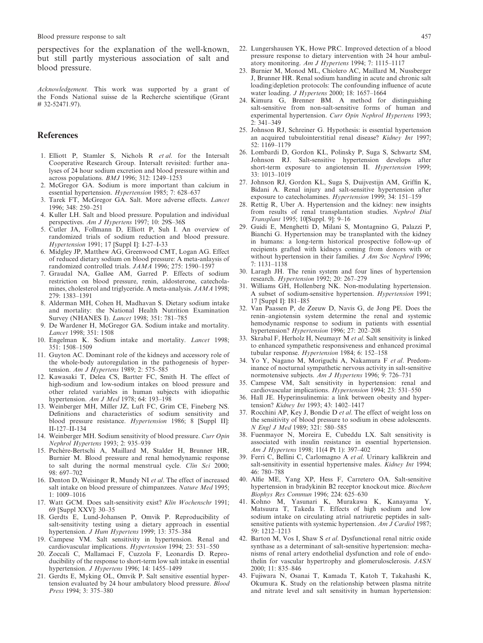Blood pressure response to salt

perspectives for the explanation of the well-known, but still partly mysterious association of salt and blood pressure.

Acknowledgement. This work was supported by a grant of the Fonds National suisse de la Recherche scientifique (Grant # 32-52471.97).

### **References**

- 1. Elliott P, Stamler S, Nichols R et al. for the Intersalt Cooperative Research Group. Intersalt revisited: further analyses of 24 hour sodium excretion and blood pressure within and across populations. *BMJ* 1996; 312: 1249–1253
- 2. McGregor GA. Sodium is more important than calcium in essential hypertension. Hypertension 1985; 7: 628-637
- 3. Tarek FT, McGregor GA. Salt. More adverse effects. Lancet 1996; 348: 250-251
- 4. Kuller LH. Salt and blood pressure. Population and individual perspectives. Am J Hypertens 1997; 10: 29S-36S
- 5. Cutler JA, Follmann D, Elliott P, Suh I. An overview of randomized trials of sodium reduction and blood pressure. Hypertension 1991; 17 [Suppl I]: I-27-I-33
- 6. Midgley JP, Matthew AG, Greenwood CMT, Logan AG. Effect of reduced dietary sodium on blood pressure: A meta-anlaysis of randomized controlled trials. JAMA 1996; 275: 1590-1597
- 7. Graudal NA, Galløe AM, Garred P. Effects of sodium restriction on blood pressure, renin, aldosterone, catecholamines, cholesterol and triglyceride. A meta-analysis. JAMA 1998; 279: 1383-1391
- 8. Alderman MH, Cohen H, Madhavan S. Dietary sodium intake and mortality: the National Health Nutrition Examination Survey (NHANES I). Lancet 1998; 351: 781-785
- 9. De Wardener H, McGregor GA. Sodium intake and mortality. Lancet 1998; 351: 1508
- 10. Engelman K. Sodium intake and mortality. Lancet 1998; 351: 1508-1509
- 11. Guyton AC. Dominant role of the kidneys and accessory role of the whole-body autoregulation in the pathogenesis of hypertension. Am J Hypertens 1989; 2: 575-585
- Kawasaki T, Delea CS, Bartter FC, Smith H. The effect of  $12.$ high-sodium and low-sodium intakes on blood pressure and other related variables in human subjects with idiopathic hypertension. Am J Med 1978; 64: 193-198
- 13. Weinberger MH, Miller JZ, Luft FC, Grim CE, Fineberg NS. Definitions and characteristics of sodium sensitivity and blood pressure resistance. Hypertension 1986; 8 [Suppl II]:  $II-127-II-134$
- 14. Weinberger MH. Sodium sensitivity of blood pressure. Curr Opin Nephrol Hypertens 1993; 2: 935-939
- 15. Pechère-Bertschi A, Maillard M, Stalder H, Brunner HR, Burnier M. Blood pressure and renal hemodynamic response to salt during the normal menstrual cycle. Clin Sci 2000; 98: 697-702
- 16. Denton D. Weisinger R. Mundy NI et al. The effect of increased salt intake on blood pressure of chimpanzees. Nature Med 1995;  $1:1009 - 1016$
- 17. Watt GCM. Does salt-sensitivity exist? Klin Wochenschr 1991; 69 [Suppl XXV]: 30-35
- 18. Gerdts E. Lund-Johansen P. Omvik P. Reproducibility of salt-sensitivity testing using a dietary approach in essential hypertension. *J Hum Hypertens* 1999; 13:  $375-384$
- 19. Campese VM. Salt sensitivity in hypertension. Renal and cardiovascular implications. *Hypertension* 1994; 23: 531–550
- 20. Zoccali C, Mallamaci F, Cuzzola F, Leonardis D. Reproducibility of the response to short-term low salt intake in essential hypertension. J Hypertens 1996; 14: 1455-1499
- 21. Gerdts E, Myking OL, Omvik P. Salt sensitive essential hypertension evaluated by 24 hour ambulatory blood pressure. Blood Press 1994; 3: 375-380
- 22. Lungershausen YK, Howe PRC. Improved detection of a blood pressure response to dietary intervention with 24 hour ambulatory monitoring. Am J Hypertens 1994; 7: 1115-1117
- 23. Burnier M, Monod ML, Chiolero AC, Maillard M, Nussberger J, Brunner HR. Renal sodium handling in acute and chronic salt loading/depletion protocols: The confounding influence of acute water loading. J Hypertens 2000; 18: 1657-1664
- 24. Kimura G, Brenner BM. A method for distinguishing salt-sensitive from non-salt-sensitive forms of human and experimental hypertension. Curr Opin Nephrol Hypertens 1993;  $2.341 - 349$
- 25. Johnson RJ, Schreiner G. Hypothesis: is essential hypertension an acquired tubulointerstitial renal disease? Kidney Int 1997; 52: 1169-1179
- 26. Lombardi D, Gordon KL, Polinsky P, Suga S, Schwartz SM, Johnson RJ. Salt-sensitive hypertension develops after short-term exposure to angiotensin II. Hypertension 1999; 33: 1013-1019
- 27. Johnson RJ, Gordon KL, Suga S, Duijvestijn AM, Griffin K, Bidani A. Renal injury and salt-sensitive hypertension after exposure to catecholamines. Hypertension 1999; 34: 151-159
- 28. Rettig R, Uber A. Hypertension and the kidney: new insights from results of renal transplantation studies. Nephrol Dial Transplant 1995; 10[Suppl. 9]: 9-16
- 29. Guidi E, Menghetti D, Milani S, Montagnino G, Palazzi P, Bianchi G. Hypertension may be transplanted with the kidney in humans: a long-term historical prospective follow-up of recipients grafted with kidneys coming from donors with or without hypertension in their families. J Am Soc Nephrol 1996;  $7.1131 - 1138$
- 30. Laragh JH. The renin system and four lines of hypertension research. Hypertension 1992; 20: 267-279
- 31. Williams GH, Hollenberg NK. Non-modulating hypertension. A subset of sodium-sensitive hypertension. Hypertension 1991; 17 [Suppl I]: I81-I85
- 32. Van Paassen P, de Zeeuw D, Navis G, de Jong PE. Does the renin-angiotensin system determine the renal and systemic hemodynamic response to sodium in patients with essential hypertension? Hypertension 1996; 27: 202-208
- 33. Skrabal F, Herholz H, Neumayr M et al. Salt sensitivity is linked to enhanced sympathetic responsiveness and enhanced proximal tubular response. *Hypertension* 1984: 6: 152-158
- Yo Y, Nagano M, Moriguchi A, Nakamura F et al. Predom-34. inance of nocturnal sympathetic nervous activity in salt-sensitive normotensive subjects. Am J Hypertens 1996; 9: 726-731
- 35. Campese VM, Salt sensitivity in hypertension: renal and cardiovascular implications. Hypertension 1994; 23: 531-550
- 36. Hall JE. Hyperinsulinemia: a link between obesity and hypertension? Kidney Int 1993; 43: 1402-1417
- 37. Rocchini AP, Key J, Bondie D et al. The effect of weight loss on the sensitivity of blood pressure to sodium in obese adolescents. N Engl J Med 1989; 321: 580-585
- 38. Fuenmayor N, Moreira E, Cubeddu LX. Salt sensitivity is associated with insulin resistance in essential hypertension. Am J Hypertens 1998; 11(4 Pt 1): 397-402
- 39. Ferri C, Bellini C, Carlomagno A et al. Urinary kallikrein and salt-sensitivity in essential hypertensive males. Kidney Int 1994; 46: 780-788
- Alfie ME, Yang XP, Hess F, Carretero OA. Salt-sensitive 40. hypertension in bradykinin B2 receptor knockout mice. Biochem Biophys Res Commun 1996; 224: 625-630
- 41. Kohno M, Yasunari K, Murakawa K, Kanayama Y, Matsuura T, Takeda T. Effects of high sodium and low sodium intake on circulating atrial natriuretic peptides in saltsensitive patients with systemic hypertension. Am  $\overline{J}$  Cardiol 1987; 59: 1212-1213
- 42. Barton M, Vos I, Shaw S et al. Dysfunctional renal nitric oxide synthase as a determinant of salt-sensitive hypertension: mechanisms of renal artery endothelial dysfunction and role of endothelin for vascular hypertrophy and glomerulosclerosis. JASN 2000: 11: 835-846
- 43. Fujiwara N, Osanai T, Kamada T, Katoh T, Takahashi K, Okumura K. Study on the relationship between plasma nitrite and nitrate level and salt sensitivity in human hypertension: